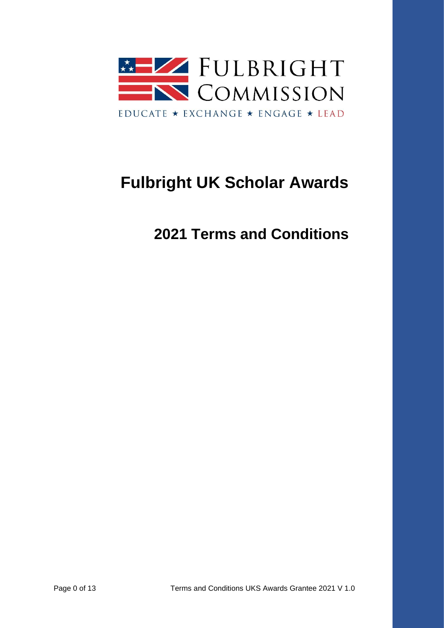

# **Fulbright UK Scholar Awards**

**2021 Terms and Conditions**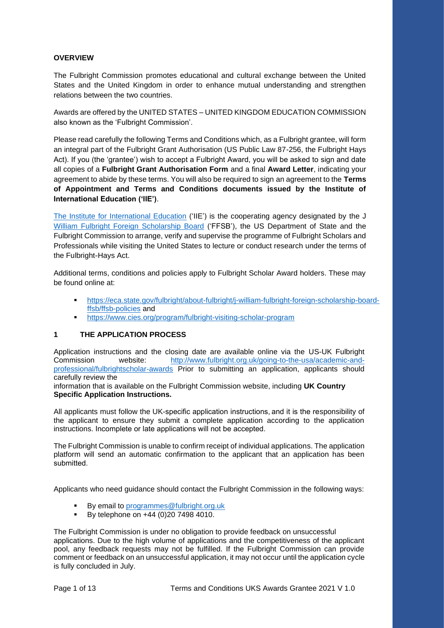### **OVERVIEW**

The Fulbright Commission promotes educational and cultural exchange between the United States and the United Kingdom in order to enhance mutual understanding and strengthen relations between the two countries.

Awards are offered by the UNITED STATES – UNITED KINGDOM EDUCATION COMMISSION also known as the 'Fulbright Commission'.

Please read carefully the following Terms and Conditions which, as a Fulbright grantee, will form an integral part of the Fulbright Grant Authorisation (US Public Law 87-256, the Fulbright Hays Act). If you (the 'grantee') wish to accept a Fulbright Award, you will be asked to sign and date all copies of a **Fulbright Grant Authorisation Form** and a final **Award Letter**, indicating your agreement to abide by these terms. You will also be required to sign an agreement to the **Terms of Appointment and Terms and Conditions documents issued by the Institute of International Education ('IIE')**.

[The Institute for International Education](https://www.iie.org/en/Programs/Fulbright-Visiting-Scholar-Program) ('IIE') is the cooperating agency designated by the J [William Fulbright Foreign Scholarship Board](https://eca.state.gov/fulbright/about-fulbright/j-william-fulbright-foreign-scholarship-board-ffsb/ffsb-policies) ('FFSB'), the US Department of State and the Fulbright Commission to arrange, verify and supervise the programme of Fulbright Scholars and Professionals while visiting the United States to lecture or conduct research under the terms of the Fulbright-Hays Act.

Additional terms, conditions and policies apply to Fulbright Scholar Award holders. These may be found online at:

- [https://eca.state.gov/fulbright/about-fulbright/j-william-fulbright-foreign-scholarship-board](https://eca.state.gov/fulbright/about-fulbright/j-william-fulbright-foreign-scholarship-board-ffsb/ffsb-policies)[ffsb/ffsb-policies](https://eca.state.gov/fulbright/about-fulbright/j-william-fulbright-foreign-scholarship-board-ffsb/ffsb-policies) and
- <https://www.cies.org/program/fulbright-visiting-scholar-program>

#### **1 THE APPLICATION PROCESS**

Application instructions and the closing date are available online via the US-UK Fulbright Commission website: [http://www.fulbright.org.uk/going-to-the-usa/academic-and](http://www.fulbright.org.uk/going-to-the-usa/academic-and-professional/fulbrightscholar-awards)[professional/fulbrightscholar-awards](http://www.fulbright.org.uk/going-to-the-usa/academic-and-professional/fulbrightscholar-awards) Prior to submitting an application, applicants should carefully review the

information that is available on the Fulbright Commission website, including **UK Country Specific Application Instructions.**

All applicants must follow the UK-specific application instructions, and it is the responsibility of the applicant to ensure they submit a complete application according to the application instructions. Incomplete or late applications will not be accepted. 

The Fulbright Commission is unable to confirm receipt of individual applications. The application platform will send an automatic confirmation to the applicant that an application has been submitted. 

Applicants who need guidance should contact the Fulbright Commission in the following ways:

- By email to [programmes@fulbright.org.uk](mailto:programmes@fulbright.org.uk)
- **•** By telephone on +44 (0) 20 7498 4010.

The Fulbright Commission is under no obligation to provide feedback on unsuccessful applications. Due to the high volume of applications and the competitiveness of the applicant pool, any feedback requests may not be fulfilled. If the Fulbright Commission can provide comment or feedback on an unsuccessful application, it may not occur until the application cycle is fully concluded in July.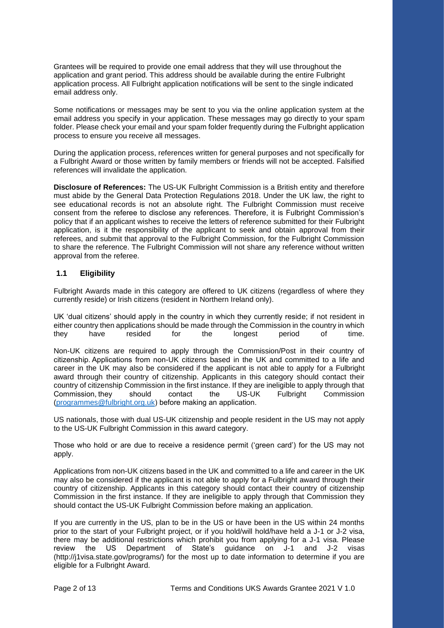Grantees will be required to provide one email address that they will use throughout the application and grant period. This address should be available during the entire Fulbright application process. All Fulbright application notifications will be sent to the single indicated email address only.

Some notifications or messages may be sent to you via the online application system at the email address you specify in your application. These messages may go directly to your spam folder. Please check your email and your spam folder frequently during the Fulbright application process to ensure you receive all messages.

During the application process, references written for general purposes and not specifically for a Fulbright Award or those written by family members or friends will not be accepted. Falsified references will invalidate the application.

**Disclosure of References:** The US-UK Fulbright Commission is a British entity and therefore must abide by the General Data Protection Regulations 2018. Under the UK law, the right to see educational records is not an absolute right. The Fulbright Commission must receive consent from the referee to disclose any references. Therefore, it is Fulbright Commission's policy that if an applicant wishes to receive the letters of reference submitted for their Fulbright application, is it the responsibility of the applicant to seek and obtain approval from their referees, and submit that approval to the Fulbright Commission, for the Fulbright Commission to share the reference. The Fulbright Commission will not share any reference without written approval from the referee.

#### **1.1 Eligibility**

Fulbright Awards made in this category are offered to UK citizens (regardless of where they currently reside) or Irish citizens (resident in Northern Ireland only).

UK 'dual citizens' should apply in the country in which they currently reside; if not resident in either country then applications should be made through the Commission in the country in which they have resided for the longest period of time.

Non-UK citizens are required to apply through the Commission/Post in their country of citizenship. Applications from non-UK citizens based in the UK and committed to a life and career in the UK may also be considered if the applicant is not able to apply for a Fulbright award through their country of citizenship. Applicants in this category should contact their country of citizenship Commission in the first instance. If they are ineligible to apply through that Commission, they should contact the US-UK Fulbright Commission [\(programmes@fulbright.org.uk\)](mailto:programmes@fulbright.org.uk) before making an application. 

US nationals, those with dual US-UK citizenship and people resident in the US may not apply to the US-UK Fulbright Commission in this award category.

Those who hold or are due to receive a residence permit ('green card') for the US may not apply.

Applications from non-UK citizens based in the UK and committed to a life and career in the UK may also be considered if the applicant is not able to apply for a Fulbright award through their country of citizenship. Applicants in this category should contact their country of citizenship Commission in the first instance. If they are ineligible to apply through that Commission they should contact the US-UK Fulbright Commission before making an application.

If you are currently in the US, plan to be in the US or have been in the US within 24 months prior to the start of your Fulbright project, or if you hold/will hold/have held a J-1 or J-2 visa, there may be additional restrictions which prohibit you from applying for a J-1 visa. Please review the US Department of State's guidance on J-1 and J-2 visas (http://j1visa.state.gov/programs/) for the most up to date information to determine if you are eligible for a Fulbright Award.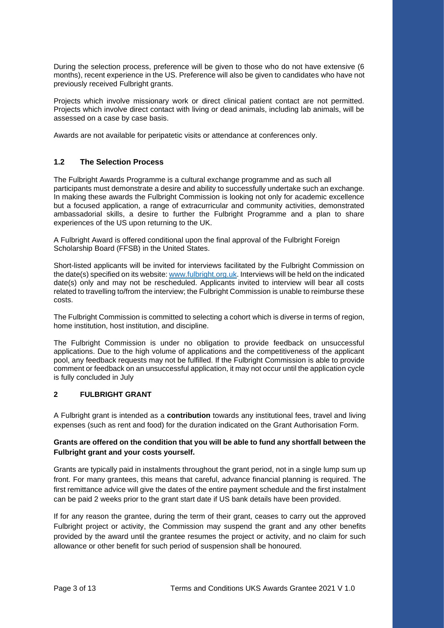During the selection process, preference will be given to those who do not have extensive (6 months), recent experience in the US. Preference will also be given to candidates who have not previously received Fulbright grants.

Projects which involve missionary work or direct clinical patient contact are not permitted. Projects which involve direct contact with living or dead animals, including lab animals, will be assessed on a case by case basis.

Awards are not available for peripatetic visits or attendance at conferences only.

## **1.2 The Selection Process**

The Fulbright Awards Programme is a cultural exchange programme and as such all participants must demonstrate a desire and ability to successfully undertake such an exchange. In making these awards the Fulbright Commission is looking not only for academic excellence but a focused application, a range of extracurricular and community activities, demonstrated ambassadorial skills, a desire to further the Fulbright Programme and a plan to share experiences of the US upon returning to the UK.

A Fulbright Award is offered conditional upon the final approval of the Fulbright Foreign Scholarship Board (FFSB) in the United States.

Short-listed applicants will be invited for interviews facilitated by the Fulbright Commission on the date(s) specified on its website: [www.fulbright.org.uk.](http://www.fulbright.org.uk/) Interviews will be held on the indicated date(s) only and may not be rescheduled. Applicants invited to interview will bear all costs related to travelling to/from the interview; the Fulbright Commission is unable to reimburse these costs.

The Fulbright Commission is committed to selecting a cohort which is diverse in terms of region, home institution, host institution, and discipline.

The Fulbright Commission is under no obligation to provide feedback on unsuccessful applications. Due to the high volume of applications and the competitiveness of the applicant pool, any feedback requests may not be fulfilled. If the Fulbright Commission is able to provide comment or feedback on an unsuccessful application, it may not occur until the application cycle is fully concluded in July

#### **2 FULBRIGHT GRANT**

A Fulbright grant is intended as a **contribution** towards any institutional fees, travel and living expenses (such as rent and food) for the duration indicated on the Grant Authorisation Form.

#### **Grants are offered on the condition that you will be able to fund any shortfall between the Fulbright grant and your costs yourself.**

Grants are typically paid in instalments throughout the grant period, not in a single lump sum up front. For many grantees, this means that careful, advance financial planning is required. The first remittance advice will give the dates of the entire payment schedule and the first instalment can be paid 2 weeks prior to the grant start date if US bank details have been provided.

If for any reason the grantee, during the term of their grant, ceases to carry out the approved Fulbright project or activity, the Commission may suspend the grant and any other benefits provided by the award until the grantee resumes the project or activity, and no claim for such allowance or other benefit for such period of suspension shall be honoured.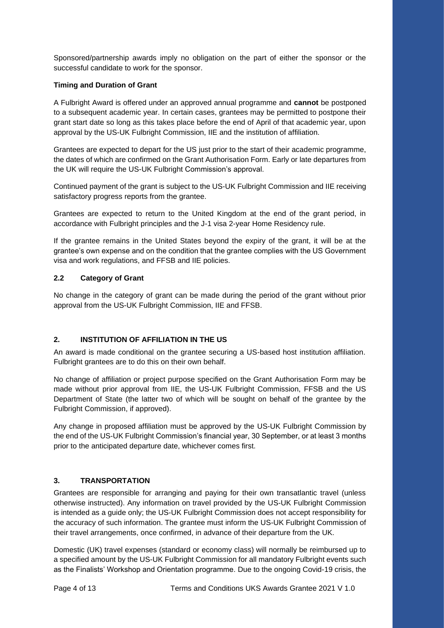Sponsored/partnership awards imply no obligation on the part of either the sponsor or the successful candidate to work for the sponsor.

### **Timing and Duration of Grant**

A Fulbright Award is offered under an approved annual programme and **cannot** be postponed to a subsequent academic year. In certain cases, grantees may be permitted to postpone their grant start date so long as this takes place before the end of April of that academic year, upon approval by the US-UK Fulbright Commission, IIE and the institution of affiliation.

Grantees are expected to depart for the US just prior to the start of their academic programme, the dates of which are confirmed on the Grant Authorisation Form. Early or late departures from the UK will require the US-UK Fulbright Commission's approval.

Continued payment of the grant is subject to the US-UK Fulbright Commission and IIE receiving satisfactory progress reports from the grantee.

Grantees are expected to return to the United Kingdom at the end of the grant period, in accordance with Fulbright principles and the J-1 visa 2-year Home Residency rule.

If the grantee remains in the United States beyond the expiry of the grant, it will be at the grantee's own expense and on the condition that the grantee complies with the US Government visa and work regulations, and FFSB and IIE policies.

## **2.2 Category of Grant**

No change in the category of grant can be made during the period of the grant without prior approval from the US-UK Fulbright Commission, IIE and FFSB.

# **2. INSTITUTION OF AFFILIATION IN THE US**

An award is made conditional on the grantee securing a US-based host institution affiliation. Fulbright grantees are to do this on their own behalf.

No change of affiliation or project purpose specified on the Grant Authorisation Form may be made without prior approval from IIE, the US-UK Fulbright Commission, FFSB and the US Department of State (the latter two of which will be sought on behalf of the grantee by the Fulbright Commission, if approved).

Any change in proposed affiliation must be approved by the US-UK Fulbright Commission by the end of the US-UK Fulbright Commission's financial year, 30 September, or at least 3 months prior to the anticipated departure date, whichever comes first.

# **3. TRANSPORTATION**

Grantees are responsible for arranging and paying for their own transatlantic travel (unless otherwise instructed). Any information on travel provided by the US-UK Fulbright Commission is intended as a guide only; the US-UK Fulbright Commission does not accept responsibility for the accuracy of such information. The grantee must inform the US-UK Fulbright Commission of their travel arrangements, once confirmed, in advance of their departure from the UK.

Domestic (UK) travel expenses (standard or economy class) will normally be reimbursed up to a specified amount by the US-UK Fulbright Commission for all mandatory Fulbright events such as the Finalists' Workshop and Orientation programme. Due to the ongoing Covid-19 crisis, the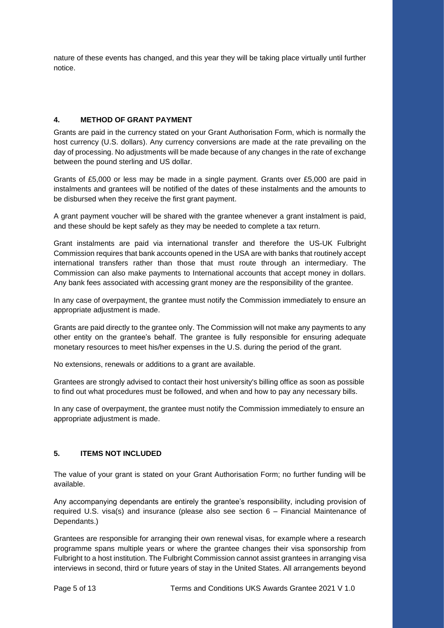nature of these events has changed, and this year they will be taking place virtually until further notice.

## **4. METHOD OF GRANT PAYMENT**

Grants are paid in the currency stated on your Grant Authorisation Form, which is normally the host currency (U.S. dollars). Any currency conversions are made at the rate prevailing on the day of processing. No adjustments will be made because of any changes in the rate of exchange between the pound sterling and US dollar.

Grants of £5,000 or less may be made in a single payment. Grants over £5,000 are paid in instalments and grantees will be notified of the dates of these instalments and the amounts to be disbursed when they receive the first grant payment.

A grant payment voucher will be shared with the grantee whenever a grant instalment is paid, and these should be kept safely as they may be needed to complete a tax return.

Grant instalments are paid via international transfer and therefore the US-UK Fulbright Commission requires that bank accounts opened in the USA are with banks that routinely accept international transfers rather than those that must route through an intermediary. The Commission can also make payments to International accounts that accept money in dollars. Any bank fees associated with accessing grant money are the responsibility of the grantee.

In any case of overpayment, the grantee must notify the Commission immediately to ensure an appropriate adjustment is made.

Grants are paid directly to the grantee only. The Commission will not make any payments to any other entity on the grantee's behalf. The grantee is fully responsible for ensuring adequate monetary resources to meet his/her expenses in the U.S. during the period of the grant.

No extensions, renewals or additions to a grant are available.

Grantees are strongly advised to contact their host university's billing office as soon as possible to find out what procedures must be followed, and when and how to pay any necessary bills.

In any case of overpayment, the grantee must notify the Commission immediately to ensure an appropriate adjustment is made.

### **5. ITEMS NOT INCLUDED**

The value of your grant is stated on your Grant Authorisation Form; no further funding will be available.

Any accompanying dependants are entirely the grantee's responsibility, including provision of required U.S. visa(s) and insurance (please also see section 6 – Financial Maintenance of Dependants.)

Grantees are responsible for arranging their own renewal visas, for example where a research programme spans multiple years or where the grantee changes their visa sponsorship from Fulbright to a host institution. The Fulbright Commission cannot assist grantees in arranging visa interviews in second, third or future years of stay in the United States. All arrangements beyond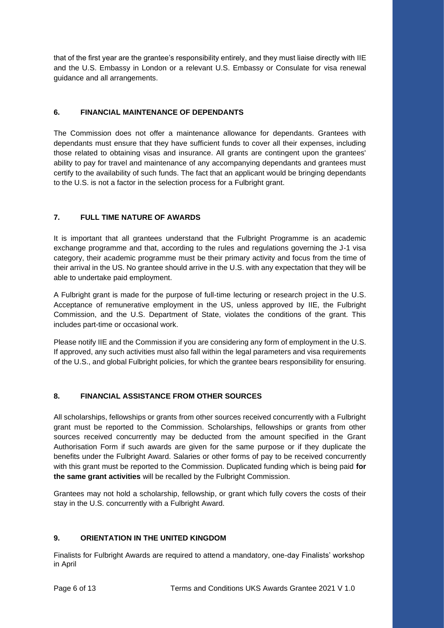that of the first year are the grantee's responsibility entirely, and they must liaise directly with IIE and the U.S. Embassy in London or a relevant U.S. Embassy or Consulate for visa renewal guidance and all arrangements.

# **6. FINANCIAL MAINTENANCE OF DEPENDANTS**

The Commission does not offer a maintenance allowance for dependants. Grantees with dependants must ensure that they have sufficient funds to cover all their expenses, including those related to obtaining visas and insurance. All grants are contingent upon the grantees' ability to pay for travel and maintenance of any accompanying dependants and grantees must certify to the availability of such funds. The fact that an applicant would be bringing dependants to the U.S. is not a factor in the selection process for a Fulbright grant.

# **7. FULL TIME NATURE OF AWARDS**

It is important that all grantees understand that the Fulbright Programme is an academic exchange programme and that, according to the rules and regulations governing the J-1 visa category, their academic programme must be their primary activity and focus from the time of their arrival in the US. No grantee should arrive in the U.S. with any expectation that they will be able to undertake paid employment.

A Fulbright grant is made for the purpose of full-time lecturing or research project in the U.S. Acceptance of remunerative employment in the US, unless approved by IIE, the Fulbright Commission, and the U.S. Department of State, violates the conditions of the grant. This includes part-time or occasional work.

Please notify IIE and the Commission if you are considering any form of employment in the U.S. If approved, any such activities must also fall within the legal parameters and visa requirements of the U.S., and global Fulbright policies, for which the grantee bears responsibility for ensuring.

# **8. FINANCIAL ASSISTANCE FROM OTHER SOURCES**

All scholarships, fellowships or grants from other sources received concurrently with a Fulbright grant must be reported to the Commission. Scholarships, fellowships or grants from other sources received concurrently may be deducted from the amount specified in the Grant Authorisation Form if such awards are given for the same purpose or if they duplicate the benefits under the Fulbright Award. Salaries or other forms of pay to be received concurrently with this grant must be reported to the Commission. Duplicated funding which is being paid **for the same grant activities** will be recalled by the Fulbright Commission.

Grantees may not hold a scholarship, fellowship, or grant which fully covers the costs of their stay in the U.S. concurrently with a Fulbright Award.

# **9. ORIENTATION IN THE UNITED KINGDOM**

Finalists for Fulbright Awards are required to attend a mandatory, one-day Finalists' workshop in April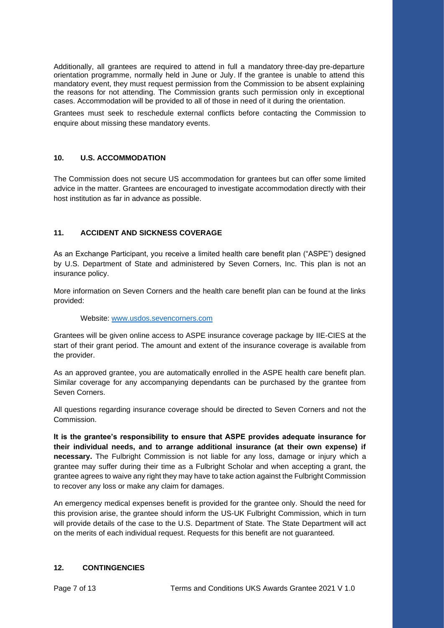Additionally, all grantees are required to attend in full a mandatory three-day pre-departure orientation programme, normally held in June or July. If the grantee is unable to attend this mandatory event, they must request permission from the Commission to be absent explaining the reasons for not attending. The Commission grants such permission only in exceptional cases. Accommodation will be provided to all of those in need of it during the orientation.

Grantees must seek to reschedule external conflicts before contacting the Commission to enquire about missing these mandatory events.

#### **10. U.S. ACCOMMODATION**

The Commission does not secure US accommodation for grantees but can offer some limited advice in the matter. Grantees are encouraged to investigate accommodation directly with their host institution as far in advance as possible.

# **11. ACCIDENT AND SICKNESS COVERAGE**

As an Exchange Participant, you receive a limited health care benefit plan ("ASPE") designed by U.S. Department of State and administered by Seven Corners, Inc. This plan is not an insurance policy.

More information on Seven Corners and the health care benefit plan can be found at the links provided:

Website: [www.usdos.sevencorners.com](http://www.usdos.sevencorners.com/)

Grantees will be given online access to ASPE insurance coverage package by IIE-CIES at the start of their grant period. The amount and extent of the insurance coverage is available from the provider.

As an approved grantee, you are automatically enrolled in the ASPE health care benefit plan. Similar coverage for any accompanying dependants can be purchased by the grantee from Seven Corners.

All questions regarding insurance coverage should be directed to Seven Corners and not the **Commission** 

**It is the grantee's responsibility to ensure that ASPE provides adequate insurance for their individual needs, and to arrange additional insurance (at their own expense) if necessary.** The Fulbright Commission is not liable for any loss, damage or injury which a grantee may suffer during their time as a Fulbright Scholar and when accepting a grant, the grantee agrees to waive any right they may have to take action against the Fulbright Commission to recover any loss or make any claim for damages.

An emergency medical expenses benefit is provided for the grantee only. Should the need for this provision arise, the grantee should inform the US-UK Fulbright Commission, which in turn will provide details of the case to the U.S. Department of State. The State Department will act on the merits of each individual request. Requests for this benefit are not guaranteed.

#### **12. CONTINGENCIES**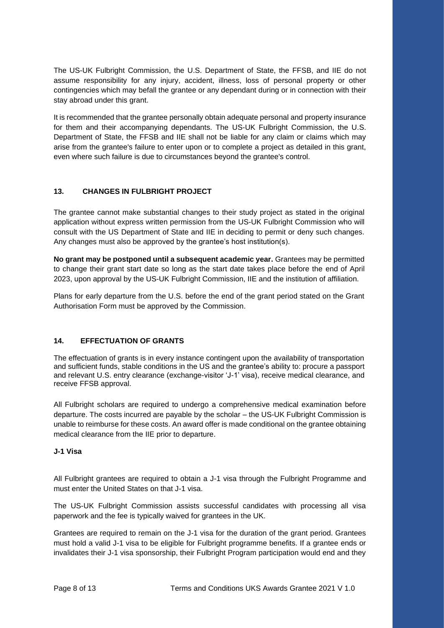The US-UK Fulbright Commission, the U.S. Department of State, the FFSB, and IIE do not assume responsibility for any injury, accident, illness, loss of personal property or other contingencies which may befall the grantee or any dependant during or in connection with their stay abroad under this grant.

It is recommended that the grantee personally obtain adequate personal and property insurance for them and their accompanying dependants. The US-UK Fulbright Commission, the U.S. Department of State, the FFSB and IIE shall not be liable for any claim or claims which may arise from the grantee's failure to enter upon or to complete a project as detailed in this grant, even where such failure is due to circumstances beyond the grantee's control.

## **13. CHANGES IN FULBRIGHT PROJECT**

The grantee cannot make substantial changes to their study project as stated in the original application without express written permission from the US-UK Fulbright Commission who will consult with the US Department of State and IIE in deciding to permit or deny such changes. Any changes must also be approved by the grantee's host institution(s).

**No grant may be postponed until a subsequent academic year.** Grantees may be permitted to change their grant start date so long as the start date takes place before the end of April 2023, upon approval by the US-UK Fulbright Commission, IIE and the institution of affiliation.

Plans for early departure from the U.S. before the end of the grant period stated on the Grant Authorisation Form must be approved by the Commission.

#### **14. EFFECTUATION OF GRANTS**

The effectuation of grants is in every instance contingent upon the availability of transportation and sufficient funds, stable conditions in the US and the grantee's ability to: procure a passport and relevant U.S. entry clearance (exchange-visitor 'J-1' visa), receive medical clearance, and receive FFSB approval.

All Fulbright scholars are required to undergo a comprehensive medical examination before departure. The costs incurred are payable by the scholar – the US-UK Fulbright Commission is unable to reimburse for these costs. An award offer is made conditional on the grantee obtaining medical clearance from the IIE prior to departure.

#### **J-1 Visa**

All Fulbright grantees are required to obtain a J-1 visa through the Fulbright Programme and must enter the United States on that J-1 visa.

The US-UK Fulbright Commission assists successful candidates with processing all visa paperwork and the fee is typically waived for grantees in the UK.

Grantees are required to remain on the J-1 visa for the duration of the grant period. Grantees must hold a valid J-1 visa to be eligible for Fulbright programme benefits. If a grantee ends or invalidates their J-1 visa sponsorship, their Fulbright Program participation would end and they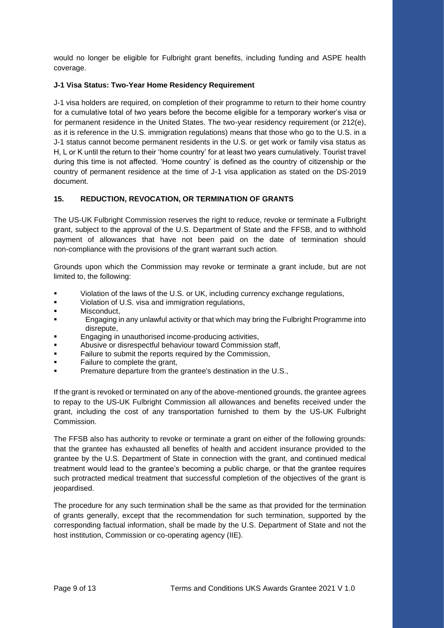would no longer be eligible for Fulbright grant benefits, including funding and ASPE health coverage.

### **J-1 Visa Status: Two-Year Home Residency Requirement**

J-1 visa holders are required, on completion of their programme to return to their home country for a cumulative total of two years before the become eligible for a temporary worker's visa or for permanent residence in the United States. The two-year residency requirement (or 212(e), as it is reference in the U.S. immigration regulations) means that those who go to the U.S. in a J-1 status cannot become permanent residents in the U.S. or get work or family visa status as H, L or K until the return to their 'home country' for at least two years cumulatively. Tourist travel during this time is not affected. 'Home country' is defined as the country of citizenship or the country of permanent residence at the time of J-1 visa application as stated on the DS-2019 document.

## **15. REDUCTION, REVOCATION, OR TERMINATION OF GRANTS**

The US-UK Fulbright Commission reserves the right to reduce, revoke or terminate a Fulbright grant, subject to the approval of the U.S. Department of State and the FFSB, and to withhold payment of allowances that have not been paid on the date of termination should non-compliance with the provisions of the grant warrant such action.

Grounds upon which the Commission may revoke or terminate a grant include, but are not limited to, the following:

- Violation of the laws of the U.S. or UK, including currency exchange regulations,
- Violation of U.S. visa and immigration regulations,
- Misconduct,
- **Engaging in any unlawful activity or that which may bring the Fulbright Programme into** disrepute,
- **Engaging in unauthorised income-producing activities,**
- Abusive or disrespectful behaviour toward Commission staff,
- Failure to submit the reports required by the Commission,
- Failure to complete the grant,
- Premature departure from the grantee's destination in the U.S.,

If the grant is revoked or terminated on any of the above-mentioned grounds, the grantee agrees to repay to the US-UK Fulbright Commission all allowances and benefits received under the grant, including the cost of any transportation furnished to them by the US-UK Fulbright Commission.

The FFSB also has authority to revoke or terminate a grant on either of the following grounds: that the grantee has exhausted all benefits of health and accident insurance provided to the grantee by the U.S. Department of State in connection with the grant, and continued medical treatment would lead to the grantee's becoming a public charge, or that the grantee requires such protracted medical treatment that successful completion of the objectives of the grant is jeopardised.

The procedure for any such termination shall be the same as that provided for the termination of grants generally, except that the recommendation for such termination, supported by the corresponding factual information, shall be made by the U.S. Department of State and not the host institution, Commission or co-operating agency (IIE).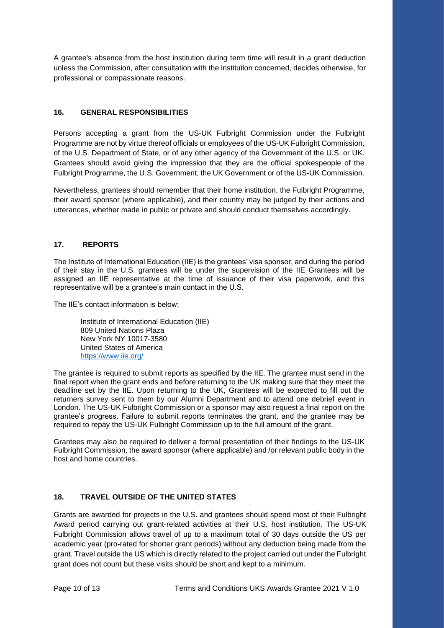A grantee's absence from the host institution during term time will result in a grant deduction unless the Commission, after consultation with the institution concerned, decides otherwise, for professional or compassionate reasons.

# **16. GENERAL RESPONSIBILITIES**

Persons accepting a grant from the US-UK Fulbright Commission under the Fulbright Programme are not by virtue thereof officials or employees of the US-UK Fulbright Commission, of the U.S. Department of State, or of any other agency of the Government of the U.S. or UK. Grantees should avoid giving the impression that they are the official spokespeople of the Fulbright Programme, the U.S. Government, the UK Government or of the US-UK Commission.

Nevertheless, grantees should remember that their home institution, the Fulbright Programme, their award sponsor (where applicable), and their country may be judged by their actions and utterances, whether made in public or private and should conduct themselves accordingly.

#### **17. REPORTS**

The Institute of International Education (IIE) is the grantees' visa sponsor, and during the period of their stay in the U.S. grantees will be under the supervision of the IIE Grantees will be assigned an IIE representative at the time of issuance of their visa paperwork, and this representative will be a grantee's main contact in the U.S.

The IIE's contact information is below:

Institute of International Education (IIE) 809 United Nations Plaza New York NY 10017-3580 United States of America <https://www.iie.org/>

The grantee is required to submit reports as specified by the IIE. The grantee must send in the final report when the grant ends and before returning to the UK making sure that they meet the deadline set by the IIE. Upon returning to the UK, Grantees will be expected to fill out the returners survey sent to them by our Alumni Department and to attend one debrief event in London. The US-UK Fulbright Commission or a sponsor may also request a final report on the grantee's progress. Failure to submit reports terminates the grant, and the grantee may be required to repay the US-UK Fulbright Commission up to the full amount of the grant.

Grantees may also be required to deliver a formal presentation of their findings to the US-UK Fulbright Commission, the award sponsor (where applicable) and /or relevant public body in the host and home countries.

### **18. TRAVEL OUTSIDE OF THE UNITED STATES**

Grants are awarded for projects in the U.S. and grantees should spend most of their Fulbright Award period carrying out grant-related activities at their U.S. host institution. The US-UK Fulbright Commission allows travel of up to a maximum total of 30 days outside the US per academic year (pro-rated for shorter grant periods) without any deduction being made from the grant. Travel outside the US which is directly related to the project carried out under the Fulbright grant does not count but these visits should be short and kept to a minimum.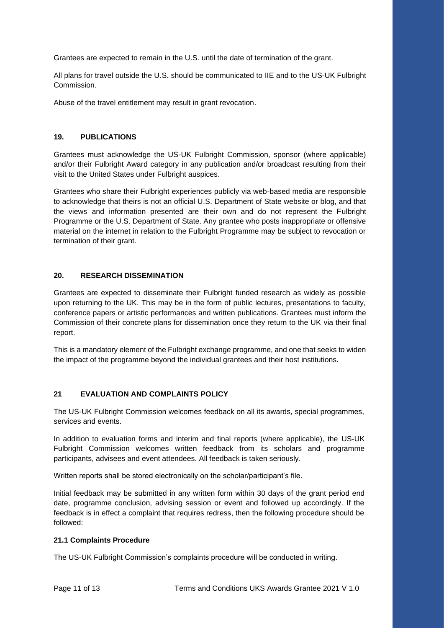Grantees are expected to remain in the U.S. until the date of termination of the grant.

All plans for travel outside the U.S. should be communicated to IIE and to the US-UK Fulbright Commission.

Abuse of the travel entitlement may result in grant revocation.

#### **19. PUBLICATIONS**

Grantees must acknowledge the US-UK Fulbright Commission, sponsor (where applicable) and/or their Fulbright Award category in any publication and/or broadcast resulting from their visit to the United States under Fulbright auspices.

Grantees who share their Fulbright experiences publicly via web-based media are responsible to acknowledge that theirs is not an official U.S. Department of State website or blog, and that the views and information presented are their own and do not represent the Fulbright Programme or the U.S. Department of State. Any grantee who posts inappropriate or offensive material on the internet in relation to the Fulbright Programme may be subject to revocation or termination of their grant.

#### **20. RESEARCH DISSEMINATION**

Grantees are expected to disseminate their Fulbright funded research as widely as possible upon returning to the UK. This may be in the form of public lectures, presentations to faculty, conference papers or artistic performances and written publications. Grantees must inform the Commission of their concrete plans for dissemination once they return to the UK via their final report.

This is a mandatory element of the Fulbright exchange programme, and one that seeks to widen the impact of the programme beyond the individual grantees and their host institutions.

#### **21 EVALUATION AND COMPLAINTS POLICY**

The US-UK Fulbright Commission welcomes feedback on all its awards, special programmes, services and events.

In addition to evaluation forms and interim and final reports (where applicable), the US-UK Fulbright Commission welcomes written feedback from its scholars and programme participants, advisees and event attendees. All feedback is taken seriously.

Written reports shall be stored electronically on the scholar/participant's file.

Initial feedback may be submitted in any written form within 30 days of the grant period end date, programme conclusion, advising session or event and followed up accordingly. If the feedback is in effect a complaint that requires redress, then the following procedure should be followed:

#### **21.1 Complaints Procedure**

The US-UK Fulbright Commission's complaints procedure will be conducted in writing.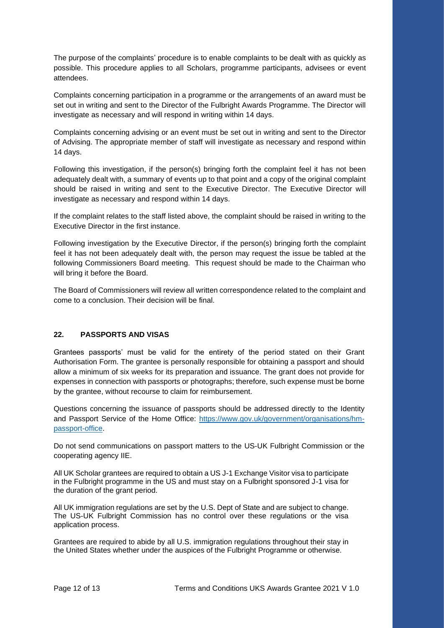The purpose of the complaints' procedure is to enable complaints to be dealt with as quickly as possible. This procedure applies to all Scholars, programme participants, advisees or event attendees.

Complaints concerning participation in a programme or the arrangements of an award must be set out in writing and sent to the Director of the Fulbright Awards Programme. The Director will investigate as necessary and will respond in writing within 14 days.

Complaints concerning advising or an event must be set out in writing and sent to the Director of Advising. The appropriate member of staff will investigate as necessary and respond within 14 days.

Following this investigation, if the person(s) bringing forth the complaint feel it has not been adequately dealt with, a summary of events up to that point and a copy of the original complaint should be raised in writing and sent to the Executive Director. The Executive Director will investigate as necessary and respond within 14 days.

If the complaint relates to the staff listed above, the complaint should be raised in writing to the Executive Director in the first instance.

Following investigation by the Executive Director, if the person(s) bringing forth the complaint feel it has not been adequately dealt with, the person may request the issue be tabled at the following Commissioners Board meeting. This request should be made to the Chairman who will bring it before the Board.

The Board of Commissioners will review all written correspondence related to the complaint and come to a conclusion. Their decision will be final.

#### **22. PASSPORTS AND VISAS**

Grantees passports' must be valid for the entirety of the period stated on their Grant Authorisation Form. The grantee is personally responsible for obtaining a passport and should allow a minimum of six weeks for its preparation and issuance. The grant does not provide for expenses in connection with passports or photographs; therefore, such expense must be borne by the grantee, without recourse to claim for reimbursement.

Questions concerning the issuance of passports should be addressed directly to the Identity and Passport Service of the Home Office: [https://www.gov.uk/government/organisations/hm](https://www.gov.uk/government/organisations/hm-passport-office)[passport-office.](https://www.gov.uk/government/organisations/hm-passport-office)

Do not send communications on passport matters to the US-UK Fulbright Commission or the cooperating agency IIE.

All UK Scholar grantees are required to obtain a US J-1 Exchange Visitor visa to participate in the Fulbright programme in the US and must stay on a Fulbright sponsored J-1 visa for the duration of the grant period.

All UK immigration regulations are set by the U.S. Dept of State and are subject to change. The US-UK Fulbright Commission has no control over these regulations or the visa application process.

Grantees are required to abide by all U.S. immigration regulations throughout their stay in the United States whether under the auspices of the Fulbright Programme or otherwise.